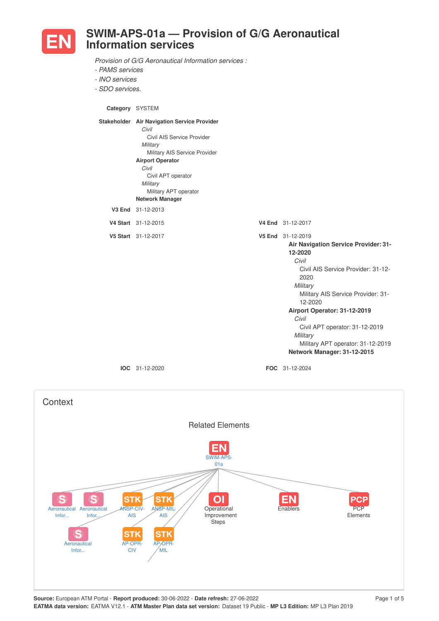

## **SWIM-APS-01a — Provision of G/G Aeronautical Information services**

*Provision of G/G Aeronautical Information services :*

- *- PAMS services*
- *- INO services*
- *- SDO services.*

**Category** SYSTEM

| Stakeholder Air Navigation Service Provider<br>Civil<br>Civil AIS Service Provider<br>Military<br>Military AIS Service Provider<br><b>Airport Operator</b><br>Civil<br>Civil APT operator<br>Military<br>Military APT operator<br><b>Network Manager</b> |                                                                                                                                                                                                                                                                                                                                                            |
|----------------------------------------------------------------------------------------------------------------------------------------------------------------------------------------------------------------------------------------------------------|------------------------------------------------------------------------------------------------------------------------------------------------------------------------------------------------------------------------------------------------------------------------------------------------------------------------------------------------------------|
| V3 End 31-12-2013                                                                                                                                                                                                                                        |                                                                                                                                                                                                                                                                                                                                                            |
| V4 Start 31-12-2015                                                                                                                                                                                                                                      | V4 End 31-12-2017                                                                                                                                                                                                                                                                                                                                          |
| V5 Start 31-12-2017                                                                                                                                                                                                                                      | V5 End 31-12-2019<br><b>Air Navigation Service Provider: 31-</b><br>12-2020<br>Civil<br>Civil AIS Service Provider: 31-12-<br>2020<br>Military<br>Military AIS Service Provider: 31-<br>12-2020<br>Airport Operator: 31-12-2019<br>Civil<br>Civil APT operator: 31-12-2019<br>Military<br>Military APT operator: 31-12-2019<br>Network Manager: 31-12-2015 |

**IOC** 31-12-2020 **FOC** 31-12-2024

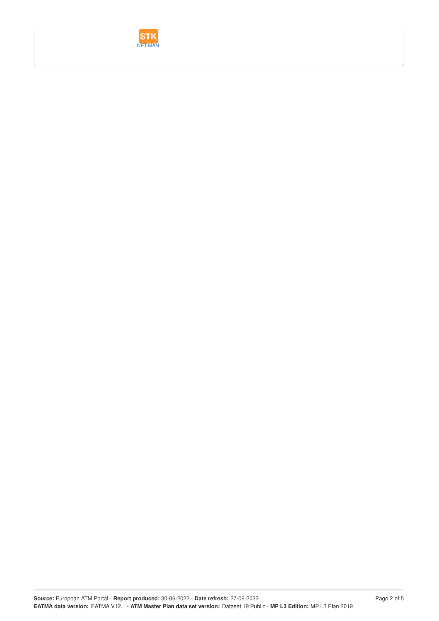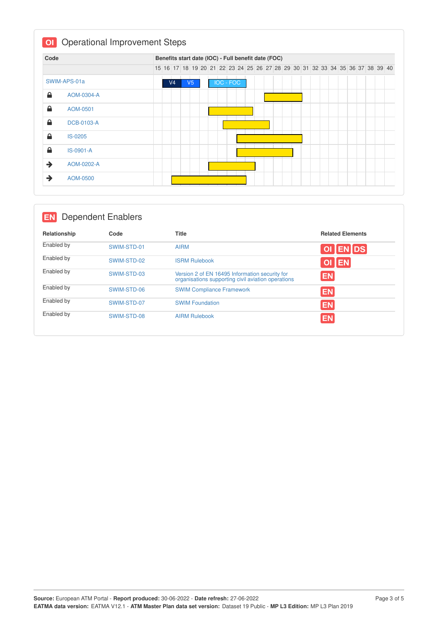| Code |                   |  |                |                |  | Benefits start date (IOC) - Full benefit date (FOC)                           |  |  |  |  |  |  |  |  |  |
|------|-------------------|--|----------------|----------------|--|-------------------------------------------------------------------------------|--|--|--|--|--|--|--|--|--|
|      |                   |  |                |                |  | 15 16 17 18 19 20 21 22 23 24 25 26 27 28 29 30 31 32 33 34 35 36 37 38 39 40 |  |  |  |  |  |  |  |  |  |
|      | SWIM-APS-01a      |  | V <sub>4</sub> | V <sub>5</sub> |  | <b>IOC - FOC</b>                                                              |  |  |  |  |  |  |  |  |  |
| ≙    | AOM-0304-A        |  |                |                |  |                                                                               |  |  |  |  |  |  |  |  |  |
| ≙    | AOM-0501          |  |                |                |  |                                                                               |  |  |  |  |  |  |  |  |  |
| ≙    | <b>DCB-0103-A</b> |  |                |                |  |                                                                               |  |  |  |  |  |  |  |  |  |
| ≙    | IS-0205           |  |                |                |  |                                                                               |  |  |  |  |  |  |  |  |  |
| ≙    | IS-0901-A         |  |                |                |  |                                                                               |  |  |  |  |  |  |  |  |  |
| →    | AOM-0202-A        |  |                |                |  |                                                                               |  |  |  |  |  |  |  |  |  |
| →    | AOM-0500          |  |                |                |  |                                                                               |  |  |  |  |  |  |  |  |  |

## **EN** Dependent Enablers

| Relationship | Code        | <b>Title</b>                                                                                         | <b>Related Elements</b> |
|--------------|-------------|------------------------------------------------------------------------------------------------------|-------------------------|
| Enabled by   | SWIM-STD-01 | <b>AIRM</b>                                                                                          | OI ENDS                 |
| Enabled by   | SWIM-STD-02 | <b>ISRM Rulebook</b>                                                                                 | OI EN                   |
| Enabled by   | SWIM-STD-03 | Version 2 of EN 16495 Information security for<br>organisations supporting civil aviation operations | <b>EN</b>               |
| Enabled by   | SWIM-STD-06 | <b>SWIM Compliance Framework</b>                                                                     | <b>EN</b>               |
| Enabled by   | SWIM-STD-07 | <b>SWIM Foundation</b>                                                                               | <b>EN</b>               |
| Enabled by   | SWIM-STD-08 | <b>AIRM Rulebook</b>                                                                                 | <b>EN</b>               |